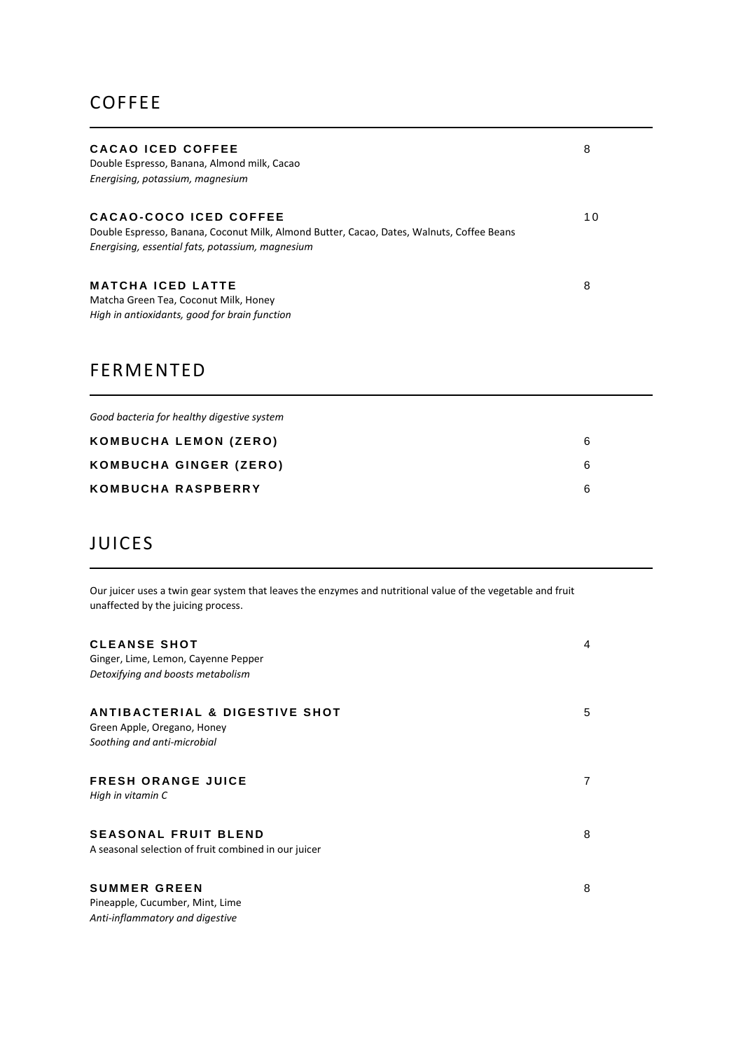## **COFFEE**

| CACAO ICED COFFEE<br>Double Espresso, Banana, Almond milk, Cacao<br>Energising, potassium, magnesium                                                                    | 8  |
|-------------------------------------------------------------------------------------------------------------------------------------------------------------------------|----|
| CACAO-COCO ICED COFFEE<br>Double Espresso, Banana, Coconut Milk, Almond Butter, Cacao, Dates, Walnuts, Coffee Beans<br>Energising, essential fats, potassium, magnesium | 10 |
| MATCHA ICED LATTE<br>Matcha Green Tea, Coconut Milk, Honey<br>High in antioxidants, good for brain function                                                             | 8  |

## FERMENTED

| Good bacteria for healthy digestive system |   |
|--------------------------------------------|---|
| KOMBUCHA LEMON (ZERO)                      | 6 |
| KOMBUCHA GINGER (ZERO)                     | 6 |
| KOMBUCHA RASPBERRY                         | 6 |

# JUICES

Our juicer uses a twin gear system that leaves the enzymes and nutritional value of the vegetable and fruit unaffected by the juicing process.

| <b>CLEANSE SHOT</b><br>Ginger, Lime, Lemon, Cayenne Pepper<br>Detoxifying and boosts metabolism         | 4 |
|---------------------------------------------------------------------------------------------------------|---|
| <b>ANTIBACTERIAL &amp; DIGESTIVE SHOT</b><br>Green Apple, Oregano, Honey<br>Soothing and anti-microbial | 5 |
| <b>FRESH ORANGE JUICE</b><br>High in vitamin C                                                          | 7 |
| <b>SEASONAL FRUIT BLEND</b><br>A seasonal selection of fruit combined in our juicer                     | 8 |
| <b>SUMMER GREEN</b><br>Pineapple, Cucumber, Mint, Lime<br>Anti-inflammatory and digestive               | 8 |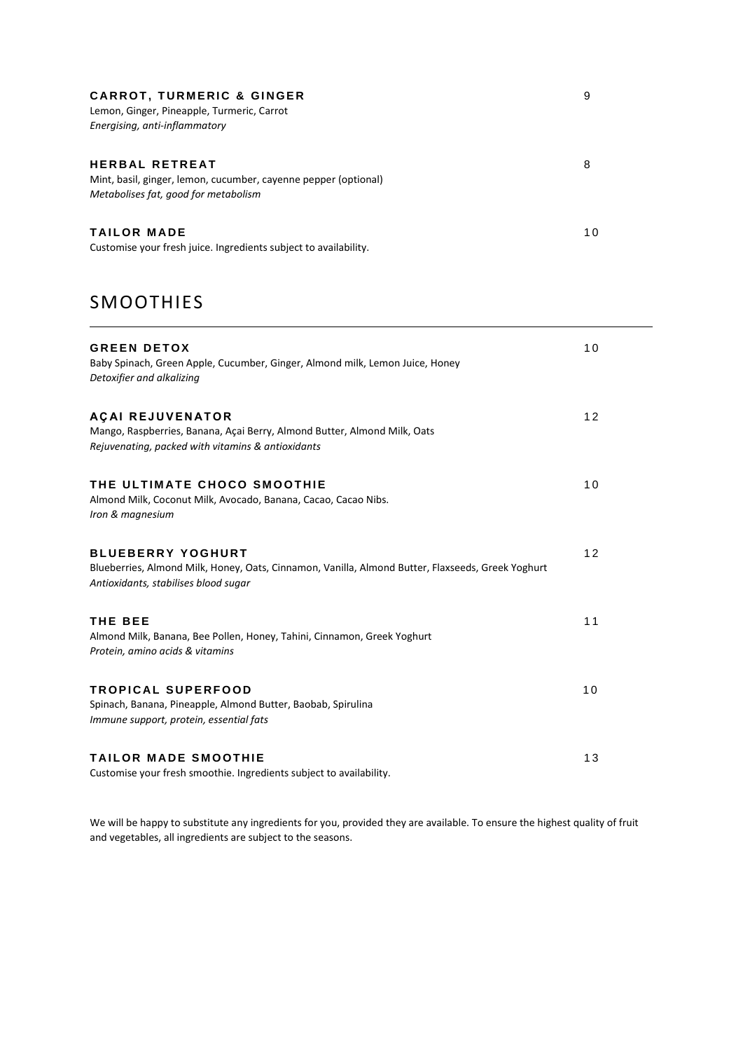| <b>CARROT, TURMERIC &amp; GINGER</b><br>Lemon, Ginger, Pineapple, Turmeric, Carrot<br>Energising, anti-inflammatory              | 9  |
|----------------------------------------------------------------------------------------------------------------------------------|----|
| <b>HERBAL RETREAT</b><br>Mint, basil, ginger, lemon, cucumber, cayenne pepper (optional)<br>Metabolises fat, good for metabolism | 8  |
| <b>TAILOR MADE</b><br>Customise your fresh juice. Ingredients subject to availability.                                           | 10 |

# SMOOTHIES

| <b>GREEN DETOX</b><br>Baby Spinach, Green Apple, Cucumber, Ginger, Almond milk, Lemon Juice, Honey<br>Detoxifier and alkalizing                                       | 10 |
|-----------------------------------------------------------------------------------------------------------------------------------------------------------------------|----|
| <b>AÇAI REJUVENATOR</b><br>Mango, Raspberries, Banana, Açai Berry, Almond Butter, Almond Milk, Oats<br>Rejuvenating, packed with vitamins & antioxidants              | 12 |
| THE ULTIMATE CHOCO SMOOTHIE<br>Almond Milk, Coconut Milk, Avocado, Banana, Cacao, Cacao Nibs.<br>Iron & magnesium                                                     | 10 |
| <b>BLUEBERRY YOGHURT</b><br>Blueberries, Almond Milk, Honey, Oats, Cinnamon, Vanilla, Almond Butter, Flaxseeds, Greek Yoghurt<br>Antioxidants, stabilises blood sugar | 12 |
| THE BEE<br>Almond Milk, Banana, Bee Pollen, Honey, Tahini, Cinnamon, Greek Yoghurt<br>Protein, amino acids & vitamins                                                 | 11 |
| <b>TROPICAL SUPERFOOD</b><br>Spinach, Banana, Pineapple, Almond Butter, Baobab, Spirulina<br>Immune support, protein, essential fats                                  | 10 |
| <b>TAILOR MADE SMOOTHIE</b><br>Customise your fresh smoothie. Ingredients subject to availability.                                                                    | 13 |

We will be happy to substitute any ingredients for you, provided they are available. To ensure the highest quality of fruit and vegetables, all ingredients are subject to the seasons.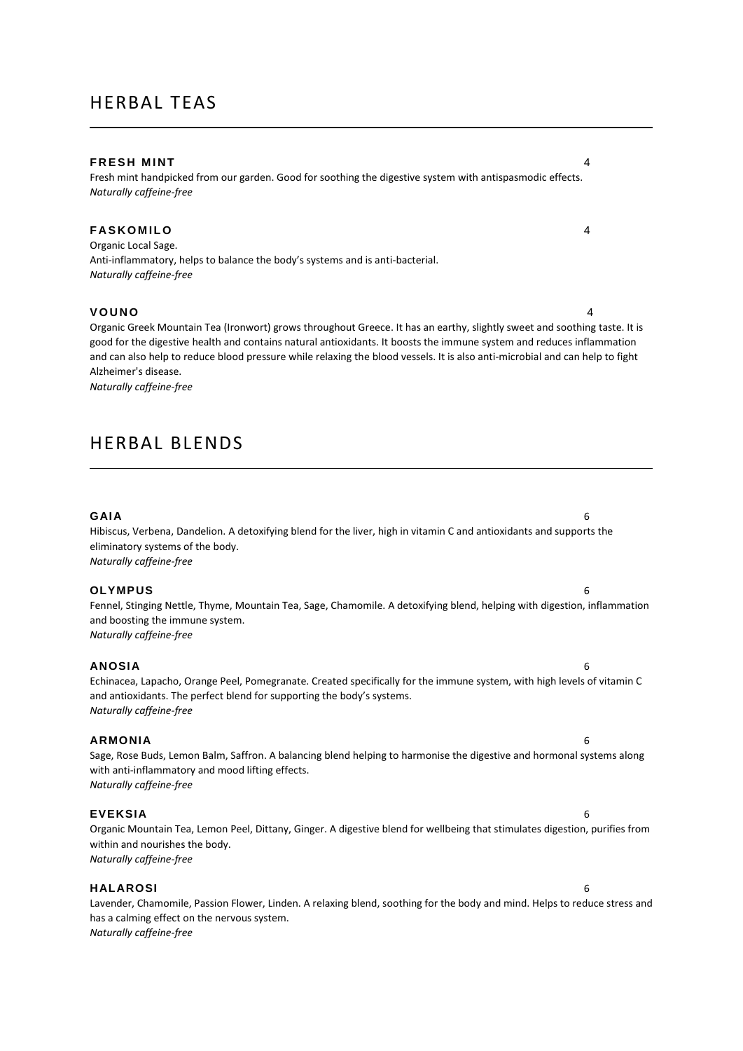### HERBAL TEAS

#### **FRESH MINT** 4

Fresh mint handpicked from our garden. Good for soothing the digestive system with antispasmodic effects. *Naturally caffeine-free*

### **F A S K O M I L O** 4

Organic Local Sage. Anti-inflammatory, helps to balance the body's systems and is anti-bacterial. *Naturally caffeine-free*

#### **V O U N O** 4

Organic Greek Mountain Tea (Ironwort) grows throughout Greece. It has an earthy, slightly sweet and soothing taste. It is good for the digestive health and contains natural antioxidants. It boosts the immune system and reduces inflammation and can also help to reduce blood pressure while relaxing the blood vessels. It is also anti-microbial and can help to fight Alzheimer's disease.

*Naturally caffeine-free*

### HERBAL BLENDS

#### **GAIA** 6

Hibiscus, Verbena, Dandelion. A detoxifying blend for the liver, high in vitamin C and antioxidants and supports the eliminatory systems of the body. *Naturally caffeine-free*

#### **OLYMPUS** 6

Fennel, Stinging Nettle, Thyme, Mountain Tea, Sage, Chamomile. A detoxifying blend, helping with digestion, inflammation and boosting the immune system. *Naturally caffeine-free*

#### **ANOSIA** 6

Echinacea, Lapacho, Orange Peel, Pomegranate. Created specifically for the immune system, with high levels of vitamin C and antioxidants. The perfect blend for supporting the body's systems. *Naturally caffeine-free*

#### **ARMONIA** 6

Sage, Rose Buds, Lemon Balm, Saffron. A balancing blend helping to harmonise the digestive and hormonal systems along with anti-inflammatory and mood lifting effects. *Naturally caffeine-free*

#### **EVEKSIA** 6

Organic Mountain Tea, Lemon Peel, Dittany, Ginger. A digestive blend for wellbeing that stimulates digestion, purifies from within and nourishes the body. *Naturally caffeine-free*

#### **HALAROSI** 6

Lavender, Chamomile, Passion Flower, Linden. A relaxing blend, soothing for the body and mind. Helps to reduce stress and has a calming effect on the nervous system. *Naturally caffeine-free*